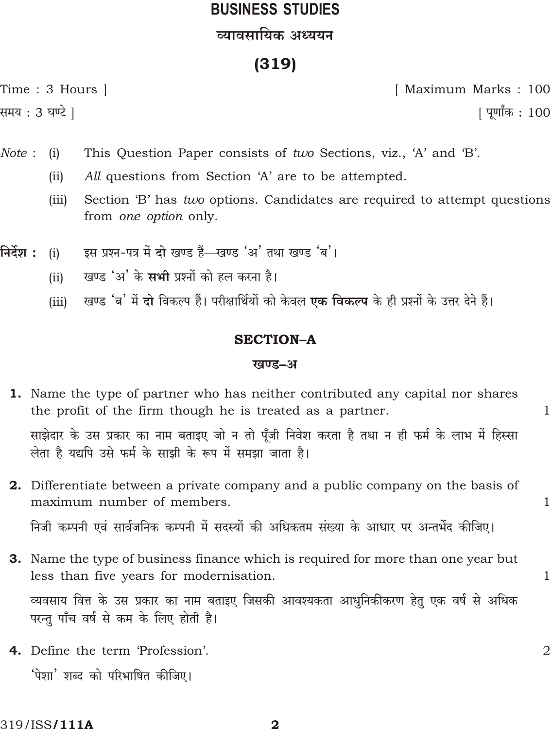# **BUSINESS STUDIES** व्यावसायिक अध्ययन

## $(319)$

Time: 3 Hours |

समय : 3 घण्टे |

[ Maximum Marks: 100 <u>|</u> पूर्णांक : 100

 $\mathbf{1}$ 

 $\mathbf{1}$ 

 $\overline{2}$ 

Note: This Question Paper consists of two Sections, viz., 'A' and 'B'.  $(i)$ 

- All questions from Section 'A' are to be attempted.  $(ii)$
- $(iii)$ Section 'B' has *two* options. Candidates are required to attempt questions from one option only.
- निर्देश : इस प्रश्न-पत्र में दो खण्ड हैं—खण्ड 'अ' तथा खण्ड 'ब'।  $(i)$ 
	- खण्ड 'अ' के सभी प्रश्नों को हल करना है।  $(ii)$
	- खण्ड 'ब' में दो विकल्प हैं। परीक्षार्थियों को केवल **एक विकल्प** के ही प्रश्नों के उत्तर देने हैं।  $(iii)$

#### **SECTION-A**

#### खण्ड–अ

| 1. Name the type of partner who has neither contributed any capital nor shares                                                                            |  |
|-----------------------------------------------------------------------------------------------------------------------------------------------------------|--|
| the profit of the firm though he is treated as a partner.                                                                                                 |  |
| साझेदार के उस प्रकार का नाम बताइए जो न तो पूँजी निवेश करता है तथा न ही फर्म के लाभ में हिस्सा<br>लेता है यद्यपि उसे फर्म के साझी के रूप में समझा जाता है। |  |
|                                                                                                                                                           |  |

**2.** Differentiate between a private company and a public company on the basis of maximum number of members.

निजी कम्पनी एवं सार्वजनिक कम्पनी में सदस्यों की अधिकतम संख्या के आधार पर अन्तर्भेद कीजिए।

- **3.** Name the type of business finance which is required for more than one year but less than five years for modernisation. व्यवसाय वित्त के उस प्रकार का नाम बताइए जिसकी आवश्यकता आधुनिकीकरण हेतु एक वर्ष से अधिक परन्तु पाँच वर्ष से कम के लिए होती है।
- 4. Define the term 'Profession'. 'पेशा' शब्द को परिभाषित कीजिए।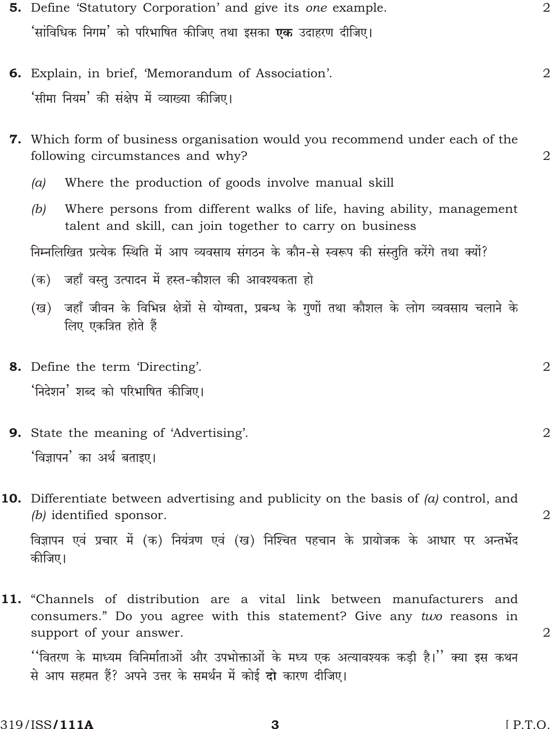| 5. Define 'Statutory Corporation' and give its one example.                                                                                                                  | $\mathbf{2}$   |
|------------------------------------------------------------------------------------------------------------------------------------------------------------------------------|----------------|
| 'सांविधिक निगम' को परिभाषित कीजिए तथा इसका <b>एक</b> उदाहरण दीजिए।                                                                                                           |                |
| 6. Explain, in brief, 'Memorandum of Association'.<br>'सीमा नियम' की संक्षेप में व्याख्या कीजिए।                                                                             | $\overline{2}$ |
| 7. Which form of business organisation would you recommend under each of the<br>following circumstances and why?                                                             | 2              |
| Where the production of goods involve manual skill<br>(a)                                                                                                                    |                |
| Where persons from different walks of life, having ability, management<br>(b)<br>talent and skill, can join together to carry on business                                    |                |
| निम्नलिखित प्रत्येक स्थिति में आप व्यवसाय संगठन के कौन-से स्वरूप की संस्तुति करेंगे तथा क्यों?                                                                               |                |
| (क) जहाँ वस्तु उत्पादन में हस्त-कौशल की आवश्यकता हो                                                                                                                          |                |
| (ख) जहाँ जीवन के विभिन्न क्षेत्रों से योग्यता, प्रबन्ध के गुणों तथा कौशल के लोग व्यवसाय चलाने के<br>लिए एकत्रित होते हैं                                                     |                |
| 8. Define the term 'Directing'.                                                                                                                                              | 2              |
| 'निदेशन' शब्द को परिभाषित कीजिए।                                                                                                                                             |                |
| <b>9.</b> State the meaning of 'Advertising'.                                                                                                                                | $\mathbf 2$    |
| 'विज्ञापन' का अर्थ बताइए।                                                                                                                                                    |                |
| <b>10.</b> Differentiate between advertising and publicity on the basis of $(a)$ control, and<br>(b) identified sponsor.                                                     | $\overline{2}$ |
| विज्ञापन एवं प्रचार में (क) नियंत्रण एवं (ख) निश्चित पहचान के प्रायोजक के आधार पर अन्तर्भेद<br>कीजिए।                                                                        |                |
| 11. "Channels of distribution are a vital link between manufacturers and<br>consumers." Do you agree with this statement? Give any two reasons in<br>support of your answer. | 2              |

''वितरण के माध्यम विनिर्माताओं और उपभोक्ताओं के मध्य एक अत्यावश्यक कड़ी है।'' क्या इस कथन से आप सहमत हैं? अपने उत्तर के समर्थन में कोई दो कारण दीजिए।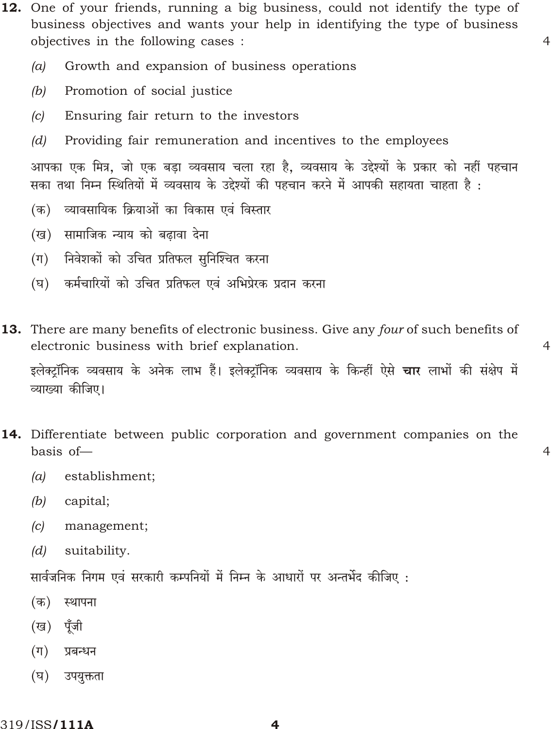12. One of your friends, running a big business, could not identify the type of business objectives and wants your help in identifying the type of business objectives in the following cases :

 $\overline{4}$ 

 $\overline{4}$ 

 $\overline{4}$ 

- $(a)$ Growth and expansion of business operations
- Promotion of social justice  $(b)$
- $\left( c\right)$ Ensuring fair return to the investors
- $(d)$ Providing fair remuneration and incentives to the employees

आपका एक मित्र, जो एक बड़ा व्यवसाय चला रहा है, व्यवसाय के उद्देश्यों के प्रकार को नहीं पहचान सका तथा निम्न स्थितियों में व्यवसाय के उद्देश्यों की पहचान करने में आपकी सहायता चाहता है :

- व्यावसायिक क्रियाओं का विकास एवं विस्तार  $(\overline{a})$
- (ख) सामाजिक न्याय को बढावा देना
- निवेशकों को उचित प्रतिफल सुनिश्चित करना  $(\pi)$
- (घ) कर्मचारियों को उचित प्रतिफल एवं अभिप्रेरक प्रदान करना
- 13. There are many benefits of electronic business. Give any four of such benefits of electronic business with brief explanation.

इलेक्टॉनिक व्यवसाय के अनेक लाभ हैं। इलेक्टॉनिक व्यवसाय के किन्हीं ऐसे **चार** लाभों की संक्षेप में व्याख्या कीजिए।

- 14. Differentiate between public corporation and government companies on the  $hasis$  of  $-$ 
	- $(a)$ establishment;
	- $(b)$ capital;
	- $(c)$ management;
	- $(d)$ suitability.

सार्वजनिक निगम एवं सरकारी कम्पनियों में निम्न के आधारों पर अन्तर्भेद कीजिए :

- (क) स्थापना
- (ख) पूँजी
- $(\Pi)$ प्रबन्धन
- $(\nabla)$ उपयुक्तता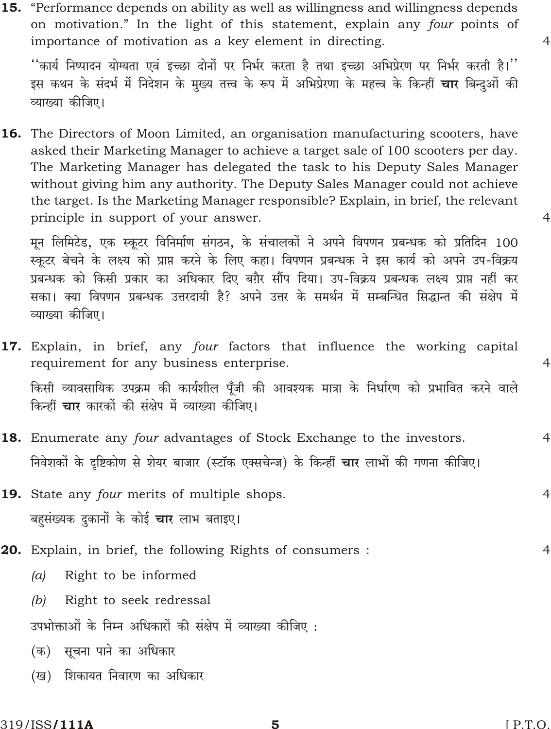''कार्य निष्पादन योग्यता एवं इच्छा दोनों पर निर्भर करता है तथा इच्छा अभिप्रेरण पर निर्भर करती है।'' इस कथन के संदर्भ में निदेशन के मुख्य तत्त्व के रूप में अभिप्रेरणा के महत्त्व के किन्हीं **चार** बिन्दुओं की व्याख्या कीजिए।

**16.** The Directors of Moon Limited, an organisation manufacturing scooters, have asked their Marketing Manager to achieve a target sale of 100 scooters per day. The Marketing Manager has delegated the task to his Deputy Sales Manager without giving him any authority. The Deputy Sales Manager could not achieve the target. Is the Marketing Manager responsible? Explain, in brief, the relevant principle in support of your answer.

मून लिमिटेड, एक स्कूटर विनिर्माण संगठन, के संचालकों ने अपने विपणन प्रबन्धक को प्रतिदिन 100 स्कूटर बेचने के लक्ष्य को प्राप्त करने के लिए कहा। विपणन प्रबन्धक ने इस कार्य को अपने उप-विक्रय प्रबन्धक को किसी प्रकार का अधिकार दिए बग़ैर सौंप दिया। उप-विक्रय प्रबन्धक लक्ष्य प्राप्त नहीं कर सका। क्या विपणन प्रबन्धक उत्तरदायी है? अपने उत्तर के समर्थन में सम्बन्धित सिद्धान्त की संक्षेप में व्याख्या कीजिए।

- 17. Explain, in brief, any four factors that influence the working capital requirement for any business enterprise. किसी व्यावसायिक उपक्रम की कार्यशील पूँजी की आवश्यक मात्रा के निर्धारण को प्रभावित करने वाले किन्हीं **चार** कारकों की संक्षेप में व्याख्या कीजिए।
- 18. Enumerate any four advantages of Stock Exchange to the investors. निवेशकों के दष्टिकोण से शेयर बाजार (स्टॉक एक्सचेन्ज) के किन्हीं **चार** लाभों की गणना कीजिए।
- 19. State any four merits of multiple shops. बहसंख्यक दुकानों के कोई **चार** लाभ बताइए।
- **20.** Explain, in brief, the following Rights of consumers:  $\overline{4}$ 
	- Right to be informed  $(a)$
	- $(b)$ Right to seek redressal

उपभोक्ताओं के निम्न अधिकारों की संक्षेप में व्याख्या कीजिए :

- (क) सूचना पाने का अधिकार
- (ख) शिकायत निवारण का अधिकार

5

 $\overline{4}$ 

 $\overline{4}$ 

 $\overline{4}$ 

 $\overline{4}$ 

 $\overline{4}$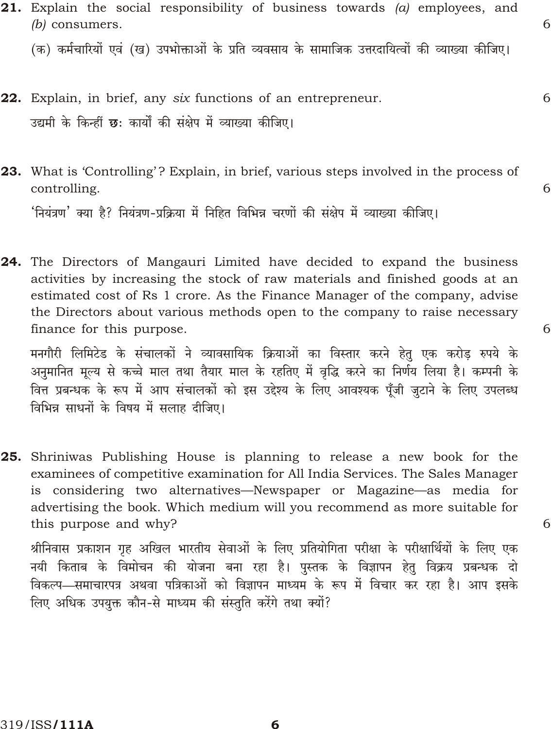6

6

6

6

21. Explain the social responsibility of business towards  $(a)$  employees, and  $(b)$  consumers.

(क) कर्मचारियों एवं (ख) उपभोक्ताओं के प्रति व्यवसाय के सामाजिक उत्तरदायित्वों की व्याख्या कीजिए।

- 22. Explain, in brief, any six functions of an entrepreneur. उद्यमी के किन्हीं छ: कार्यों की संक्षेप में व्याख्या कीजिए।
- 23. What is 'Controlling'? Explain, in brief, various steps involved in the process of controlling.

'नियंत्रण' क्या है? नियंत्रण-प्रक्रिया में निहित विभिन्न चरणों की संक्षेप में व्याख्या कीजिए।

24. The Directors of Mangauri Limited have decided to expand the business activities by increasing the stock of raw materials and finished goods at an estimated cost of Rs 1 crore. As the Finance Manager of the company, advise the Directors about various methods open to the company to raise necessary finance for this purpose.

मनगौरी लिमिटेड के संचालकों ने व्यावसायिक क्रियाओं का विस्तार करने हेतु एक करोड रुपये के अनुमानित मूल्य से कच्चे माल तथा तैयार माल के रहतिए में वृद्धि करने का निर्णय लिया है। कम्पनी के वित्त प्रबन्धक के रूप में आप संचालकों को इस उद्देश्य के लिए आवश्यक पूँजी जुटाने के लिए उपलब्ध विभिन्न साधनों के विषय में सलाह दीजिए।

25. Shriniwas Publishing House is planning to release a new book for the examinees of competitive examination for All India Services. The Sales Manager is considering two alternatives—Newspaper or Magazine—as media for advertising the book. Which medium will you recommend as more suitable for this purpose and why?

श्रीनिवास प्रकाशन गृह अखिल भारतीय सेवाओं के लिए प्रतियोगिता परीक्षा के परीक्षार्थियों के लिए एक नयी किताब के विमोचन की योजना बना रहा है। पुस्तक के विज्ञापन हेतु विक्रय प्रबन्धक दो विकल्प—समाचारपत्र अथवा पत्रिकाओं को विज्ञापन माध्यम के रूप में विचार कर रहा है। आप इसके लिए अधिक उपयुक्त कौन-से माध्यम की संस्तुति करेंगे तथा क्यों?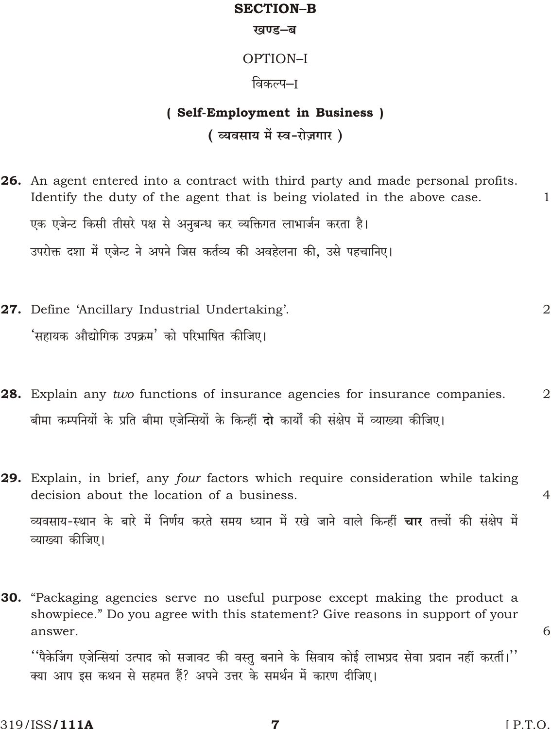#### **SECTION-B**

#### खण्ड–ब

## OPTION-I

### विकल्प–ा

# (Self-Employment in Business) (व्यवसाय में स्व-रोज़गार)

- 26. An agent entered into a contract with third party and made personal profits. Identify the duty of the agent that is being violated in the above case.  $\mathbf{1}$ एक एजेन्ट किसी तीसरे पक्ष से अनुबन्ध कर व्यक्तिगत लाभार्जन करता है। उपरोक्त दशा में एजेन्ट ने अपने जिस कर्तव्य की अवहेलना की. उसे पहचानिए।
- 27. Define 'Ancillary Industrial Undertaking'. 'सहायक औद्योगिक उपक्रम' को परिभाषित कीजिए।
- 28. Explain any two functions of insurance agencies for insurance companies.  $\overline{2}$ बीमा कम्पनियों के प्रति बीमा एजेन्सियों के किन्हीं दो कार्यों की संक्षेप में व्याख्या कीजिए।
- 29. Explain, in brief, any four factors which require consideration while taking decision about the location of a business. व्यवसाय-स्थान के बारे में निर्णय करते समय ध्यान में रखे जाने वाले किन्हीं चार तत्त्वों की संक्षेप में व्याख्या कीजिए।
- 30. "Packaging agencies serve no useful purpose except making the product a showpiece." Do you agree with this statement? Give reasons in support of your answer.

''पैकेजिंग एजेन्सियां उत्पाद को सजावट की वस्तू बनाने के सिवाय कोई लाभप्रद सेवा प्रदान नहीं करतीं।'' क्या आप इस कथन से सहमत हैं? अपने उत्तर के समर्थन में कारण दीजिए।

 $\overline{2}$ 

 $\overline{4}$